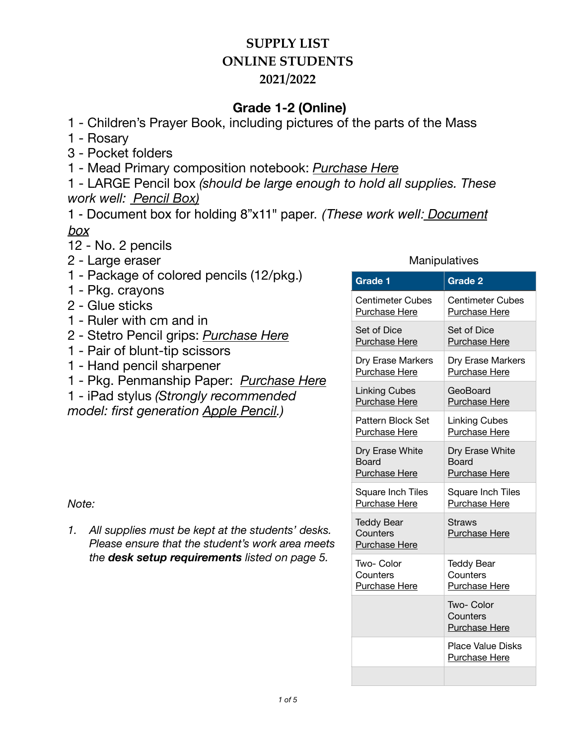## **Grade 1-2 (Online)**

1 - Children's Prayer Book, including pictures of the parts of the Mass

- 1 Rosary
- 3 Pocket folders

1 - Mead Primary composition notebook: *[Purchase Here](https://www.amazon.com/Mead-Composition-Notebooks-Primary-09902/dp/B001F38YWM)*

1 - LARGE Pencil box *(should be large enough to hold all supplies. These work well: [Pencil Box](https://www.staples.com/Advantus-Super-Stacker-Document-Box-Clear-14-1-4-L-x-10-1-4-W-x-3-1-4-D/product_394449?cid=PS:GooglePLAs:394449&ci_src=17588969&ci_sku=394449&KPID=394449&gclid=CjwKCAjwm4rqBRBUEiwAwaWjjIF1C063lI0DxQfY7WRK-LBiGORtolWDN2hsCcPJCkj_WCuI7Q0ITRoCjGQQAvD_BwE))* 

1 - Document box for holding 8"x11" paper. *(These work well: [Document](https://www.staples.com/Advantus-Super-Stacker-Document-Box-Clear-14-1-4-L-x-10-1-4-W-x-3-1-4-D/product_394449?cid=PS:GooglePLAs:394449&ci_src=17588969&ci_sku=394449&KPID=394449&gclid=CjwKCAjwm4rqBRBUEiwAwaWjjIF1C063lI0DxQfY7WRK-LBiGORtolWDN2hsCcPJCkj_WCuI7Q0ITRoCjGQQAvD_BwE)  [box](https://www.staples.com/Advantus-Super-Stacker-Document-Box-Clear-14-1-4-L-x-10-1-4-W-x-3-1-4-D/product_394449?cid=PS:GooglePLAs:394449&ci_src=17588969&ci_sku=394449&KPID=394449&gclid=CjwKCAjwm4rqBRBUEiwAwaWjjIF1C063lI0DxQfY7WRK-LBiGORtolWDN2hsCcPJCkj_WCuI7Q0ITRoCjGQQAvD_BwE)*

- 12 No. 2 pencils
- 2 Large eraser
- 1 Package of colored pencils (12/pkg.)
- 1 Pkg. crayons
- 2 Glue sticks
- 1 Ruler with cm and in
- 2 Stetro Pencil grips: *[Purchase Here](https://www.amazon.com/Stetro-Pencil-Grips-Assorted-Colors/dp/B000KIEJKE/ref=sr_1_16?ie=UTF8&qid=1532720132&sr=8-16&keywords=Pencil+grip)*
- 1 Pair of blunt-tip scissors
- 1 Hand pencil sharpener
- 1 Pkg. Penmanship Paper: *[Purchase Here](https://www.amazon.com/gp/product/B007YCOYTU/ref=ppx_yo_dt_b_search_asin_title?ie=UTF8&psc=1)*
- 1 iPad stylus *(Strongly recommended*

*model: first generation [Apple Pencil](https://www.apple.com/shop/product/MK0C2AM/A/apple-pencil-1st-generation).)* 

#### *Note:*

*1. All supplies must be kept at the students' desks. Please ensure that the student's work area meets the desk setup requirements listed on page 5.* 

#### **Manipulatives**

| Grade 1                                               | Grade <sub>2</sub>                             |
|-------------------------------------------------------|------------------------------------------------|
| <b>Centimeter Cubes</b>                               | <b>Centimeter Cubes</b>                        |
| Purchase Here                                         | Purchase Here                                  |
| Set of Dice                                           | Set of Dice                                    |
| <b>Purchase Here</b>                                  | <b>Purchase Here</b>                           |
| Dry Erase Markers                                     | Dry Erase Markers                              |
| Purchase Here                                         | <b>Purchase Here</b>                           |
| <b>Linking Cubes</b>                                  | GeoBoard                                       |
| <b>Purchase Here</b>                                  | Purchase Here                                  |
| Pattern Block Set                                     | <b>Linking Cubes</b>                           |
| Purchase Here                                         | Purchase Here                                  |
| Dry Erase White                                       | Dry Erase White                                |
| <b>Board</b>                                          | <b>Board</b>                                   |
| <b>Purchase Here</b>                                  | Purchase Here                                  |
| Square Inch Tiles                                     | Square Inch Tiles                              |
| <b>Purchase Here</b>                                  | Purchase Here                                  |
| <b>Teddy Bear</b><br>Counters<br><b>Purchase Here</b> | Straws<br><b>Purchase Here</b>                 |
| Two- Color                                            | <b>Teddy Bear</b>                              |
| Counters                                              | Counters                                       |
| Purchase Here                                         | <b>Purchase Here</b>                           |
|                                                       | Two- Color<br>Counters<br><b>Purchase Here</b> |
|                                                       | <b>Place Value Disks</b><br>Purchase Here      |
|                                                       |                                                |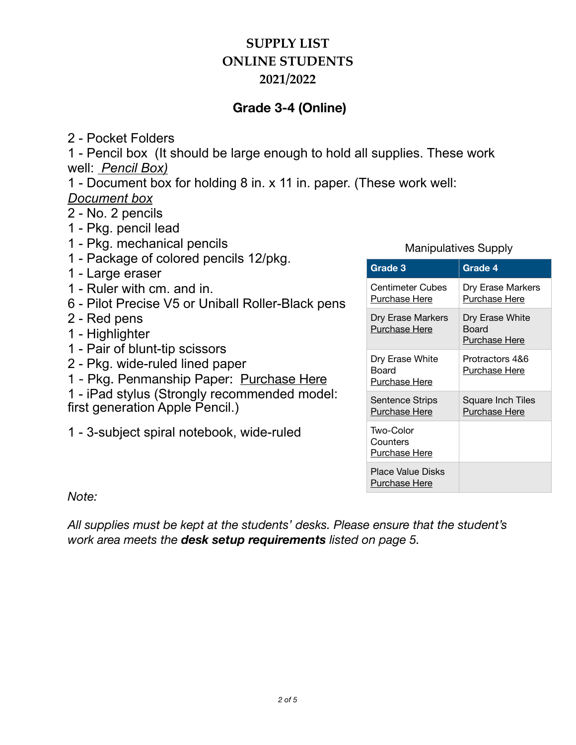## **Grade 3-4 (Online)**

2 - Pocket Folders

1 - Pencil box (It should be large enough to hold all supplies. These work well: *[Pencil Box\)](https://www.staples.com/Advantus-Super-Stacker-Document-Box-Clear-14-1-4-L-x-10-1-4-W-x-3-1-4-D/product_394449?cid=PS:GooglePLAs:394449&ci_src=17588969&ci_sku=394449&KPID=394449&gclid=CjwKCAjwm4rqBRBUEiwAwaWjjIF1C063lI0DxQfY7WRK-LBiGORtolWDN2hsCcPJCkj_WCuI7Q0ITRoCjGQQAvD_BwE)*

1 - Document box for holding 8 in. x 11 in. paper. (These work well: *[Document box](https://www.staples.com/Advantus-Super-Stacker-Document-Box-Clear-14-1-4-L-x-10-1-4-W-x-3-1-4-D/product_394449?cid=PS:GooglePLAs:394449&ci_src=17588969&ci_sku=394449&KPID=394449&gclid=CjwKCAjwm4rqBRBUEiwAwaWjjIF1C063lI0DxQfY7WRK-LBiGORtolWDN2hsCcPJCkj_WCuI7Q0ITRoCjGQQAvD_BwE)*

2 - No. 2 pencils

- 1 Pkg. pencil lead
- 1 Pkg. mechanical pencils
- 1 Package of colored pencils 12/pkg.
- 1 Large eraser
- 1 Ruler with cm. and in.
- 6 Pilot Precise V5 or Uniball Roller-Black pens
- 2 Red pens
- 1 Highlighter
- 1 Pair of blunt-tip scissors
- 2 Pkg. wide-ruled lined paper
- 1 Pkg. Penmanship Paper: [Purchase Here](https://www.amazon.com/gp/product/B007YCOYIG/ref=ppx_yo_dt_b_search_asin_title?ie=UTF8&th=1)
- 1 iPad stylus (Strongly recommended model: first generation Apple Pencil.)

1 - 3-subject spiral notebook, wide-ruled

### Manipulatives Supply

| Grade 3                                   | Grade 4                                   |
|-------------------------------------------|-------------------------------------------|
| Centimeter Cubes<br>Purchase Here         | Dry Erase Markers<br>Purchase Here        |
| Dry Erase Markers<br>Purchase Here        | Dry Erase White<br>Board<br>Purchase Here |
| Dry Erase White<br>Board<br>Purchase Here | Protractors 4&6<br><u>Purchase Here</u>   |
| Sentence Strips<br>Purchase Here          | Square Inch Tiles<br><b>Purchase Here</b> |
| Two-Color<br>Counters<br>Purchase Here    |                                           |
| <b>Place Value Disks</b><br>Purchase Here |                                           |

*Note:* 

*All supplies must be kept at the students' desks. Please ensure that the student's work area meets the desk setup requirements listed on page 5.*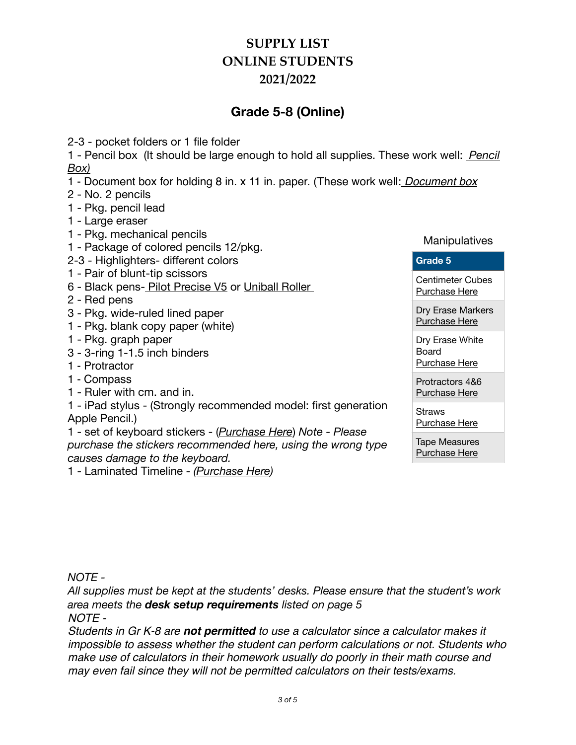## **Grade 5-8 (Online)**

2-3 - pocket folders or 1 file folder

1 - Pencil box (It should be large enough to hold all supplies. These work well: *[Pencil](https://www.staples.com/Advantus-Super-Stacker-Document-Box-Clear-14-1-4-L-x-10-1-4-W-x-3-1-4-D/product_394449?cid=PS:GooglePLAs:394449&ci_src=17588969&ci_sku=394449&KPID=394449&gclid=CjwKCAjwm4rqBRBUEiwAwaWjjIF1C063lI0DxQfY7WRK-LBiGORtolWDN2hsCcPJCkj_WCuI7Q0ITRoCjGQQAvD_BwE) [Box\)](https://www.staples.com/Advantus-Super-Stacker-Document-Box-Clear-14-1-4-L-x-10-1-4-W-x-3-1-4-D/product_394449?cid=PS:GooglePLAs:394449&ci_src=17588969&ci_sku=394449&KPID=394449&gclid=CjwKCAjwm4rqBRBUEiwAwaWjjIF1C063lI0DxQfY7WRK-LBiGORtolWDN2hsCcPJCkj_WCuI7Q0ITRoCjGQQAvD_BwE)*

- 1 Document box for holding 8 in. x 11 in. paper. (These work well: *[Document box](https://www.staples.com/Advantus-Super-Stacker-Document-Box-Clear-14-1-4-L-x-10-1-4-W-x-3-1-4-D/product_394449?cid=PS:GooglePLAs:394449&ci_src=17588969&ci_sku=394449&KPID=394449&gclid=CjwKCAjwm4rqBRBUEiwAwaWjjIF1C063lI0DxQfY7WRK-LBiGORtolWDN2hsCcPJCkj_WCuI7Q0ITRoCjGQQAvD_BwE)*
- 2 No. 2 pencils
- 1 Pkg. pencil lead
- 1 Large eraser
- 1 Pkg. mechanical pencils
- 1 Package of colored pencils 12/pkg.
- 2-3 Highlighters- different colors
- 1 Pair of blunt-tip scissors
- 6 Black pens [Pilot Precise V5](https://www.amazon.com/Pilot-26002-Precision-Technology-Skip-Free/dp/B001GP88F2/ref=asc_df_B001GP88F2/?tag=hyprod-20&linkCode=df0&hvadid=167152767982&hvpos=&hvnetw=g&hvrand=7007014989693189435&hvpone=&hvptwo=&hvqmt=&hvdev=c&hvdvcmdl=&hvlocint=&hvlocphy=9012359&hvtargid=pla-312943100315&psc=1) or [Uniball Roller](https://www.amazon.com/uni-ball-Vision-Rollerball-Point-0-7mm/dp/B00006IE8J/ref=sr_1_4?dchild=1&keywords=uniball+black+pen&qid=1626826558&s=office-products&sr=1-4)

2 - Red pens

- 3 Pkg. wide-ruled lined paper
- 1 Pkg. blank copy paper (white)
- 1 Pkg. graph paper
- 3 3-ring 1-1.5 inch binders
- 1 Protractor
- 1 Compass
- 1 Ruler with cm. and in.
- 1 iPad stylus (Strongly recommended model: first generation Apple Pencil.)

1 - set of keyboard stickers - (*[Purchase Here](https://www.amazon.com/Blank-keyboard-stickers-transparent-background/dp/B002VHYAFG/ref=sr_1_2?dchild=1&keywords=blank+keyboard+stickers&qid=1627320294&s=office-products&sr=1-2)*) *Note - Please purchase the stickers recommended here, using the wrong type causes damage to the keyboard.* 

1 - Laminated Timeline - *([Purchase Here](https://www.rainbowresource.com/product/001581/Timeline---Laminated.html?))*

#### **Manipulatives**

#### **Grade 5**

[Centimeter Cubes](https://www.amazon.com/Learning-Resources-Centimeter-Cubes-Set/dp/B000QDTVFG/ref=sr_1_5?dchild=1&keywords=centimeter+cubes&qid=1627077178&sr=8-5)  Purchase Here

[Dry Erase Markers](https://eurekamath.didax.com/expo-dry-erase-marker-fine-point-black-4-pcs.html)  Purchase Here

Dry Erase White Board [Purchase Here](https://www.amazon.com/Scribbledo-Colored-Magnetic-Whiteboard-Connect/dp/B07XZHQ1WD/ref=sr_1_16?crid=2OHUZ7K20E1SW&dchild=1&keywords=personal+white+boards+for+students&qid=1626804718&sprefix=personal+white%2Caps%2C469&sr=8-16) 

[Protractors 4&6](https://www.amazon.com/eBoot-Plastic-Protractor-Degree-Pieces/dp/B01LS90074/ref=sr_1_5?dchild=1&keywords=Protractor+4%22&qid=1626807001&sr=8-5)  Purchase Here

**Straws** [Purchase Here](https://www.amazon.com/Cocktail-Stirrers-Plastic-Stirring-Sipping/dp/B07BHVJFHD/ref=sr_1_2?dchild=1&keywords=cocktail+straws&qid=1627078218&sr=8-2) 

Tape Measures [Purchase Here](https://eurekamath.didax.com/tape-measure-set-of-10.html) 

*NOTE -* 

*All supplies must be kept at the students' desks. Please ensure that the student's work area meets the desk setup requirements listed on page 5* 

*NOTE -*

*Students in Gr K-8 are not permitted to use a calculator since a calculator makes it impossible to assess whether the student can perform calculations or not. Students who make use of calculators in their homework usually do poorly in their math course and may even fail since they will not be permitted calculators on their tests/exams.*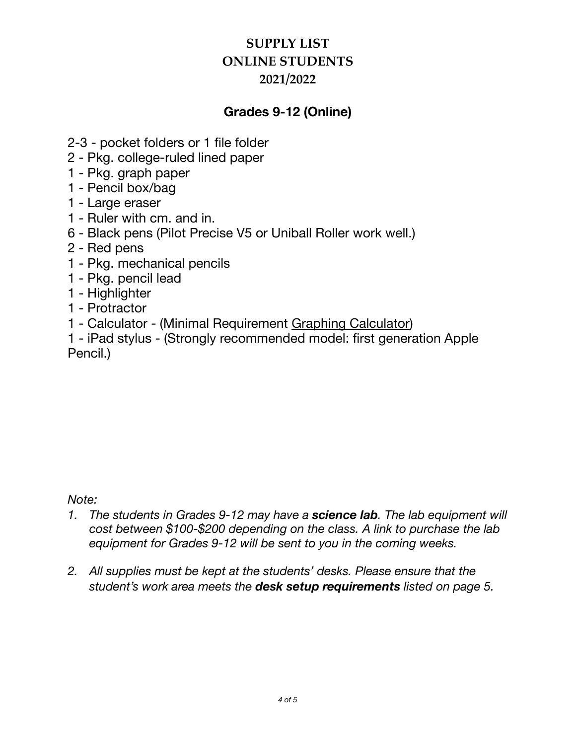### **Grades 9-12 (Online)**

- 2-3 pocket folders or 1 file folder
- 2 Pkg. college-ruled lined paper
- 1 Pkg. graph paper
- 1 Pencil box/bag
- 1 Large eraser
- 1 Ruler with cm. and in.
- 6 Black pens (Pilot Precise V5 or Uniball Roller work well.)
- 2 Red pens
- 1 Pkg. mechanical pencils
- 1 Pkg. pencil lead
- 1 Highlighter
- 1 Protractor
- 1 Calculator (Minimal Requirement [Graphing Calculator\)](https://www.genesis-technologies.com/texas-instruments-ti-84-plus-ce-graphing-calculator-black.html)
- 1 iPad stylus (Strongly recommended model: first generation Apple Pencil.)

### *Note:*

- *1. The students in Grades 9-12 may have a science lab. The lab equipment will cost between \$100-\$200 depending on the class. A link to purchase the lab equipment for Grades 9-12 will be sent to you in the coming weeks.*
- *2. All supplies must be kept at the students' desks. Please ensure that the student's work area meets the desk setup requirements listed on page 5.*